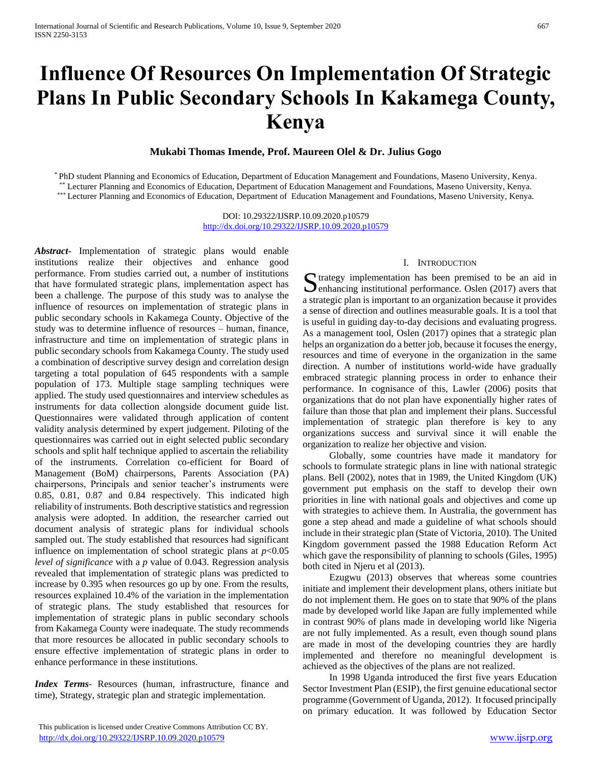# **Influence Of Resources On Implementation Of Strategic Plans In Public Secondary Schools In Kakamega County, Kenya**

## **Mukabi Thomas Imende, Prof. Maureen Olel & Dr. Julius Gogo**

\* PhD student Planning and Economics of Education, Department of Education Management and Foundations, Maseno University, Kenya. \*\* Lecturer Planning and Economics of Education, Department of Education Management and Foundations, Maseno University, Kenya. \*\*\* Lecturer Planning and Economics of Education, Department of Education Management and Foundations, Maseno University, Kenya.

> DOI: 10.29322/IJSRP.10.09.2020.p10579 <http://dx.doi.org/10.29322/IJSRP.10.09.2020.p10579>

*Abstract***-** Implementation of strategic plans would enable institutions realize their objectives and enhance good performance. From studies carried out, a number of institutions that have formulated strategic plans, implementation aspect has been a challenge. The purpose of this study was to analyse the influence of resources on implementation of strategic plans in public secondary schools in Kakamega County. Objective of the study was to determine influence of resources – human, finance, infrastructure and time on implementation of strategic plans in public secondary schools from Kakamega County. The study used a combination of descriptive survey design and correlation design targeting a total population of 645 respondents with a sample population of 173. Multiple stage sampling techniques were applied. The study used questionnaires and interview schedules as instruments for data collection alongside document guide list. Questionnaires were validated through application of content validity analysis determined by expert judgement. Piloting of the questionnaires was carried out in eight selected public secondary schools and split half technique applied to ascertain the reliability of the instruments. Correlation co-efficient for Board of Management (BoM) chairpersons, Parents Association (PA) chairpersons, Principals and senior teacher's instruments were 0.85, 0.81, 0.87 and 0.84 respectively. This indicated high reliability of instruments. Both descriptive statistics and regression analysis were adopted. In addition, the researcher carried out document analysis of strategic plans for individual schools sampled out. The study established that resources had significant influence on implementation of school strategic plans at  $p<0.05$ *level of significance* with a *p* value of 0.043. Regression analysis revealed that implementation of strategic plans was predicted to increase by 0.395 when resources go up by one. From the results, resources explained 10.4% of the variation in the implementation of strategic plans. The study established that resources for implementation of strategic plans in public secondary schools from Kakamega County were inadequate. The study recommends that more resources be allocated in public secondary schools to ensure effective implementation of strategic plans in order to enhance performance in these institutions.

*Index Terms*- Resources (human, infrastructure, finance and time), Strategy, strategic plan and strategic implementation.

#### I. INTRODUCTION

trategy implementation has been premised to be an aid in  $\sum$  trategy implementation has been premised to be an aid in enhancing institutional performance. Oslen (2017) avers that a strategic plan is important to an organization because it provides a sense of direction and outlines measurable goals. It is a tool that is useful in guiding day-to-day decisions and evaluating progress. As a management tool, Oslen (2017) opines that a strategic plan helps an organization do a better job, because it focuses the energy, resources and time of everyone in the organization in the same direction. A number of institutions world-wide have gradually embraced strategic planning process in order to enhance their performance. In cognisance of this, Lawler (2006) posits that organizations that do not plan have exponentially higher rates of failure than those that plan and implement their plans. Successful implementation of strategic plan therefore is key to any organizations success and survival since it will enable the organization to realize her objective and vision.

 Globally, some countries have made it mandatory for schools to formulate strategic plans in line with national strategic plans. Bell (2002), notes that in 1989, the United Kingdom (UK) government put emphasis on the staff to develop their own priorities in line with national goals and objectives and come up with strategies to achieve them. In Australia, the government has gone a step ahead and made a guideline of what schools should include in their strategic plan (State of Victoria, 2010). The United Kingdom government passed the 1988 Education Reform Act which gave the responsibility of planning to schools (Giles, 1995) both cited in Njeru et al (2013).

 Ezugwu (2013) observes that whereas some countries initiate and implement their development plans, others initiate but do not implement them. He goes on to state that 90% of the plans made by developed world like Japan are fully implemented while in contrast 90% of plans made in developing world like Nigeria are not fully implemented. As a result, even though sound plans are made in most of the developing countries they are hardly implemented and therefore no meaningful development is achieved as the objectives of the plans are not realized.

 In 1998 Uganda introduced the first five years Education Sector Investment Plan (ESIP), the first genuine educational sector programme (Government of Uganda, 2012). It focused principally on primary education. It was followed by Education Sector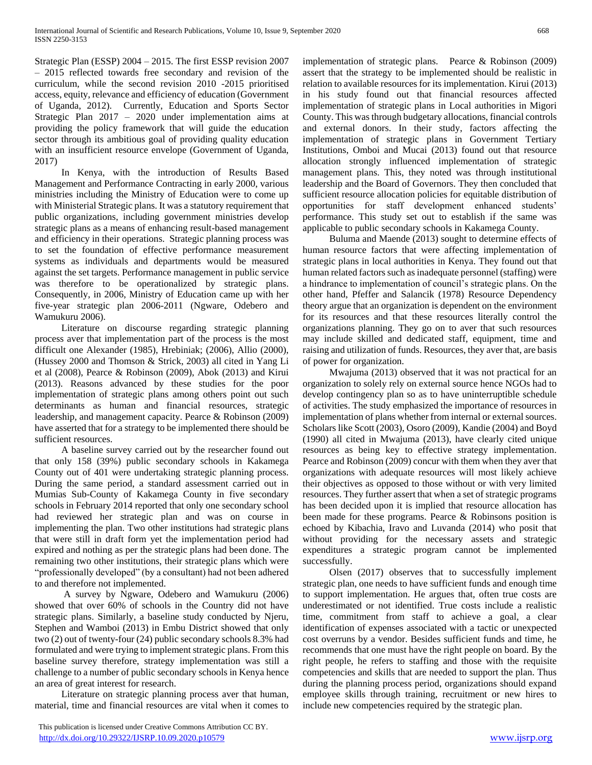Strategic Plan (ESSP) 2004 – 2015. The first ESSP revision 2007 – 2015 reflected towards free secondary and revision of the curriculum, while the second revision 2010 -2015 prioritised access, equity, relevance and efficiency of education (Government of Uganda, 2012). Currently, Education and Sports Sector Strategic Plan 2017 – 2020 under implementation aims at providing the policy framework that will guide the education sector through its ambitious goal of providing quality education with an insufficient resource envelope (Government of Uganda, 2017)

 In Kenya, with the introduction of Results Based Management and Performance Contracting in early 2000, various ministries including the Ministry of Education were to come up with Ministerial Strategic plans. It was a statutory requirement that public organizations, including government ministries develop strategic plans as a means of enhancing result-based management and efficiency in their operations. Strategic planning process was to set the foundation of effective performance measurement systems as individuals and departments would be measured against the set targets. Performance management in public service was therefore to be operationalized by strategic plans. Consequently, in 2006, Ministry of Education came up with her five-year strategic plan 2006-2011 (Ngware, Odebero and Wamukuru 2006).

 Literature on discourse regarding strategic planning process aver that implementation part of the process is the most difficult one Alexander (1985), Hrebiniak; (2006), Allio (2000), (Hussey 2000 and Thomson & Strick, 2003) all cited in Yang Li et al (2008), Pearce & Robinson (2009), Abok (2013) and Kirui (2013). Reasons advanced by these studies for the poor implementation of strategic plans among others point out such determinants as human and financial resources, strategic leadership, and management capacity. Pearce & Robinson (2009) have asserted that for a strategy to be implemented there should be sufficient resources.

 A baseline survey carried out by the researcher found out that only 158 (39%) public secondary schools in Kakamega County out of 401 were undertaking strategic planning process. During the same period, a standard assessment carried out in Mumias Sub-County of Kakamega County in five secondary schools in February 2014 reported that only one secondary school had reviewed her strategic plan and was on course in implementing the plan. Two other institutions had strategic plans that were still in draft form yet the implementation period had expired and nothing as per the strategic plans had been done. The remaining two other institutions, their strategic plans which were "professionally developed" (by a consultant) had not been adhered to and therefore not implemented.

 A survey by Ngware, Odebero and Wamukuru (2006) showed that over 60% of schools in the Country did not have strategic plans. Similarly, a baseline study conducted by Njeru, Stephen and Wamboi (2013) in Embu District showed that only two (2) out of twenty-four (24) public secondary schools 8.3% had formulated and were trying to implement strategic plans. From this baseline survey therefore, strategy implementation was still a challenge to a number of public secondary schools in Kenya hence an area of great interest for research.

 Literature on strategic planning process aver that human, material, time and financial resources are vital when it comes to implementation of strategic plans. Pearce & Robinson (2009) assert that the strategy to be implemented should be realistic in relation to available resources for its implementation. Kirui (2013) in his study found out that financial resources affected implementation of strategic plans in Local authorities in Migori County. This was through budgetary allocations, financial controls and external donors. In their study, factors affecting the implementation of strategic plans in Government Tertiary Institutions, Omboi and Mucai (2013) found out that resource allocation strongly influenced implementation of strategic management plans. This, they noted was through institutional leadership and the Board of Governors. They then concluded that sufficient resource allocation policies for equitable distribution of opportunities for staff development enhanced students' performance. This study set out to establish if the same was applicable to public secondary schools in Kakamega County.

 Buluma and Maende (2013) sought to determine effects of human resource factors that were affecting implementation of strategic plans in local authorities in Kenya. They found out that human related factors such as inadequate personnel (staffing) were a hindrance to implementation of council's strategic plans. On the other hand, Pfeffer and Salancik (1978) Resource Dependency theory argue that an organization is dependent on the environment for its resources and that these resources literally control the organizations planning. They go on to aver that such resources may include skilled and dedicated staff, equipment, time and raising and utilization of funds. Resources, they aver that, are basis of power for organization.

 Mwajuma (2013) observed that it was not practical for an organization to solely rely on external source hence NGOs had to develop contingency plan so as to have uninterruptible schedule of activities. The study emphasized the importance of resources in implementation of plans whether from internal or external sources. Scholars like Scott (2003), Osoro (2009), Kandie (2004) and Boyd (1990) all cited in Mwajuma (2013), have clearly cited unique resources as being key to effective strategy implementation. Pearce and Robinson (2009) concur with them when they aver that organizations with adequate resources will most likely achieve their objectives as opposed to those without or with very limited resources. They further assert that when a set of strategic programs has been decided upon it is implied that resource allocation has been made for these programs. Pearce & Robinsons position is echoed by Kibachia, Iravo and Luvanda (2014) who posit that without providing for the necessary assets and strategic expenditures a strategic program cannot be implemented successfully.

 Olsen (2017) observes that to successfully implement strategic plan, one needs to have sufficient funds and enough time to support implementation. He argues that, often true costs are underestimated or not identified. True costs include a realistic time, commitment from staff to achieve a goal, a clear identification of expenses associated with a tactic or unexpected cost overruns by a vendor. Besides sufficient funds and time, he recommends that one must have the right people on board. By the right people, he refers to staffing and those with the requisite competencies and skills that are needed to support the plan. Thus during the planning process period, organizations should expand employee skills through training, recruitment or new hires to include new competencies required by the strategic plan.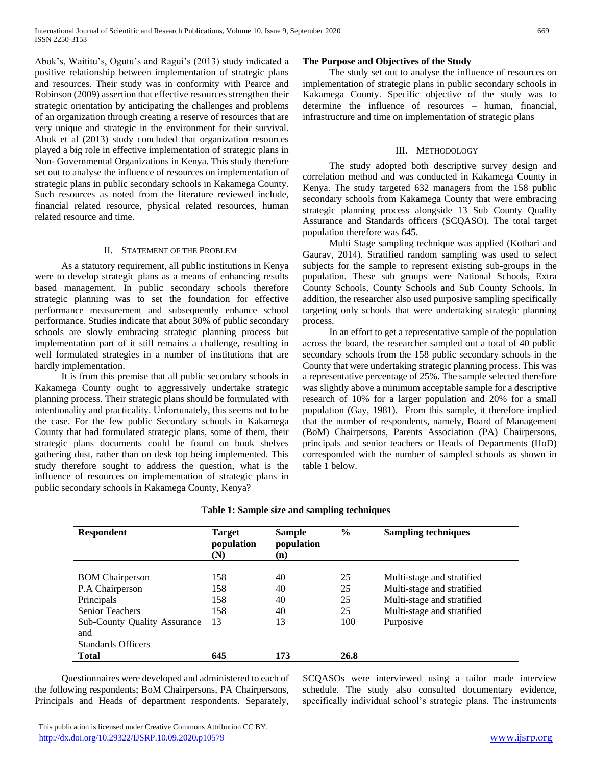Abok's, Waititu's, Ogutu's and Ragui's (2013) study indicated a positive relationship between implementation of strategic plans and resources. Their study was in conformity with Pearce and Robinson (2009) assertion that effective resources strengthen their strategic orientation by anticipating the challenges and problems of an organization through creating a reserve of resources that are very unique and strategic in the environment for their survival. Abok et al (2013) study concluded that organization resources played a big role in effective implementation of strategic plans in Non- Governmental Organizations in Kenya. This study therefore set out to analyse the influence of resources on implementation of strategic plans in public secondary schools in Kakamega County. Such resources as noted from the literature reviewed include, financial related resource, physical related resources, human related resource and time.

#### II. STATEMENT OF THE PROBLEM

 As a statutory requirement, all public institutions in Kenya were to develop strategic plans as a means of enhancing results based management. In public secondary schools therefore strategic planning was to set the foundation for effective performance measurement and subsequently enhance school performance. Studies indicate that about 30% of public secondary schools are slowly embracing strategic planning process but implementation part of it still remains a challenge, resulting in well formulated strategies in a number of institutions that are hardly implementation.

 It is from this premise that all public secondary schools in Kakamega County ought to aggressively undertake strategic planning process. Their strategic plans should be formulated with intentionality and practicality. Unfortunately, this seems not to be the case. For the few public Secondary schools in Kakamega County that had formulated strategic plans, some of them, their strategic plans documents could be found on book shelves gathering dust, rather than on desk top being implemented. This study therefore sought to address the question, what is the influence of resources on implementation of strategic plans in public secondary schools in Kakamega County, Kenya?

#### **The Purpose and Objectives of the Study**

 The study set out to analyse the influence of resources on implementation of strategic plans in public secondary schools in Kakamega County. Specific objective of the study was to determine the influence of resources – human, financial, infrastructure and time on implementation of strategic plans

#### III. METHODOLOGY

 The study adopted both descriptive survey design and correlation method and was conducted in Kakamega County in Kenya. The study targeted 632 managers from the 158 public secondary schools from Kakamega County that were embracing strategic planning process alongside 13 Sub County Quality Assurance and Standards officers (SCQASO). The total target population therefore was 645.

 Multi Stage sampling technique was applied (Kothari and Gaurav, 2014). Stratified random sampling was used to select subjects for the sample to represent existing sub-groups in the population. These sub groups were National Schools, Extra County Schools, County Schools and Sub County Schools. In addition, the researcher also used purposive sampling specifically targeting only schools that were undertaking strategic planning process.

 In an effort to get a representative sample of the population across the board, the researcher sampled out a total of 40 public secondary schools from the 158 public secondary schools in the County that were undertaking strategic planning process. This was a representative percentage of 25%. The sample selected therefore was slightly above a minimum acceptable sample for a descriptive research of 10% for a larger population and 20% for a small population (Gay, 1981). From this sample, it therefore implied that the number of respondents, namely, Board of Management (BoM) Chairpersons, Parents Association (PA) Chairpersons, principals and senior teachers or Heads of Departments (HoD) corresponded with the number of sampled schools as shown in table 1 below.

| <b>Respondent</b>                                                       | <b>Target</b><br>population<br>(N) | <b>Sample</b><br>population<br>(n) | $\frac{6}{6}$ | <b>Sampling techniques</b> |
|-------------------------------------------------------------------------|------------------------------------|------------------------------------|---------------|----------------------------|
| <b>BOM</b> Chairperson                                                  | 158                                | 40                                 | 25            | Multi-stage and stratified |
| P.A Chairperson                                                         | 158                                | 40                                 | 25            | Multi-stage and stratified |
| Principals                                                              | 158                                | 40                                 | 25            | Multi-stage and stratified |
| <b>Senior Teachers</b>                                                  | 158                                | 40                                 | 25            | Multi-stage and stratified |
| <b>Sub-County Quality Assurance</b><br>and<br><b>Standards Officers</b> | 13                                 | 13                                 | 100           | Purposive                  |
| <b>Total</b>                                                            | 645                                | 173                                | 26.8          |                            |

## **Table 1: Sample size and sampling techniques**

 Questionnaires were developed and administered to each of the following respondents; BoM Chairpersons, PA Chairpersons, Principals and Heads of department respondents. Separately, SCQASOs were interviewed using a tailor made interview schedule. The study also consulted documentary evidence, specifically individual school's strategic plans. The instruments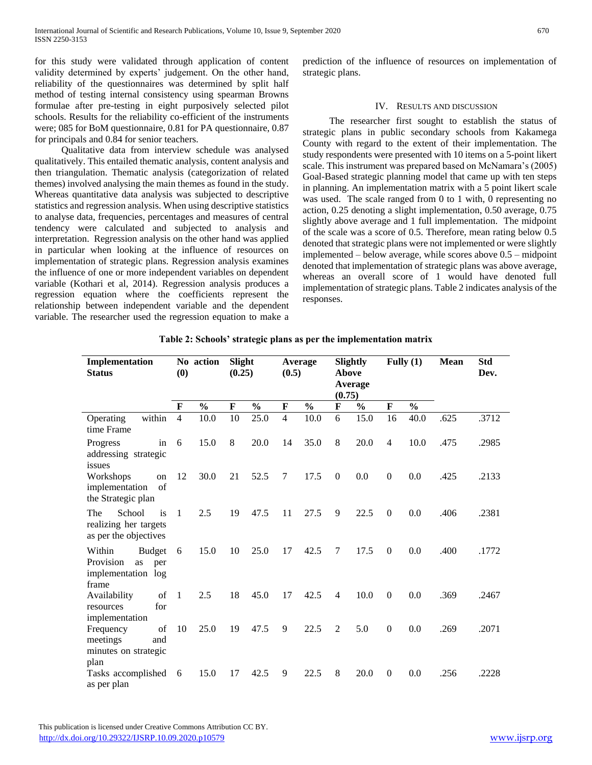for this study were validated through application of content validity determined by experts' judgement. On the other hand, reliability of the questionnaires was determined by split half method of testing internal consistency using spearman Browns formulae after pre-testing in eight purposively selected pilot schools. Results for the reliability co-efficient of the instruments were; 085 for BoM questionnaire, 0.81 for PA questionnaire, 0.87 for principals and 0.84 for senior teachers.

 Qualitative data from interview schedule was analysed qualitatively. This entailed thematic analysis, content analysis and then triangulation. Thematic analysis (categorization of related themes) involved analysing the main themes as found in the study. Whereas quantitative data analysis was subjected to descriptive statistics and regression analysis. When using descriptive statistics to analyse data, frequencies, percentages and measures of central tendency were calculated and subjected to analysis and interpretation. Regression analysis on the other hand was applied in particular when looking at the influence of resources on implementation of strategic plans. Regression analysis examines the influence of one or more independent variables on dependent variable (Kothari et al, 2014). Regression analysis produces a regression equation where the coefficients represent the relationship between independent variable and the dependent variable. The researcher used the regression equation to make a prediction of the influence of resources on implementation of strategic plans.

#### IV. RESULTS AND DISCUSSION

 The researcher first sought to establish the status of strategic plans in public secondary schools from Kakamega County with regard to the extent of their implementation. The study respondents were presented with 10 items on a 5-point likert scale. This instrument was prepared based on McNamara's (2005) Goal-Based strategic planning model that came up with ten steps in planning. An implementation matrix with a 5 point likert scale was used. The scale ranged from 0 to 1 with, 0 representing no action, 0.25 denoting a slight implementation, 0.50 average, 0.75 slightly above average and 1 full implementation. The midpoint of the scale was a score of 0.5. Therefore, mean rating below 0.5 denoted that strategic plans were not implemented or were slightly implemented – below average, while scores above 0.5 – midpoint denoted that implementation of strategic plans was above average, whereas an overall score of 1 would have denoted full implementation of strategic plans. Table 2 indicates analysis of the responses.

| Implementation<br><b>Status</b>                                                  | $\boldsymbol{\left(0\right)}$ | No action     | Slight<br>(0.25) |               | (0.5)       | Average       | Above<br>(0.75) | <b>Slightly</b><br>Average |                | Fully $(1)$   | <b>Mean</b> | <b>Std</b><br>Dev. |
|----------------------------------------------------------------------------------|-------------------------------|---------------|------------------|---------------|-------------|---------------|-----------------|----------------------------|----------------|---------------|-------------|--------------------|
|                                                                                  | $\mathbf F$                   | $\frac{0}{0}$ | F                | $\frac{0}{0}$ | $\mathbf F$ | $\frac{0}{0}$ | F               | $\frac{0}{0}$              | F              | $\frac{0}{0}$ |             |                    |
| within<br>Operating<br>time Frame                                                | $\overline{4}$                | 10.0          | 10               | 25.0          | 4           | 10.0          | 6               | 15.0                       | 16             | 40.0          | .625        | .3712              |
| in<br>Progress<br>addressing strategic<br>issues                                 | 6                             | 15.0          | $\,8\,$          | 20.0          | 14          | 35.0          | $\,8\,$         | 20.0                       | $\overline{4}$ | 10.0          | .475        | .2985              |
| Workshops<br>on<br>of<br>implementation<br>the Strategic plan                    | 12                            | 30.0          | 21               | 52.5          | 7           | 17.5          | $\mathbf{0}$    | 0.0                        | $\Omega$       | 0.0           | .425        | .2133              |
| The<br>School<br>is<br>realizing her targets<br>as per the objectives            | $\mathbf{1}$                  | 2.5           | 19               | 47.5          | 11          | 27.5          | 9               | 22.5                       | $\Omega$       | 0.0           | .406        | .2381              |
| Within<br><b>Budget</b><br>Provision<br>as<br>per<br>implementation log<br>frame | 6                             | 15.0          | 10               | 25.0          | 17          | 42.5          | $\tau$          | 17.5                       | $\Omega$       | 0.0           | .400        | .1772              |
| Availability<br>of<br>for<br>resources<br>implementation                         | $\mathbf{1}$                  | 2.5           | 18               | 45.0          | 17          | 42.5          | $\overline{4}$  | 10.0                       | $\Omega$       | 0.0           | .369        | .2467              |
| of<br>Frequency<br>meetings<br>and<br>minutes on strategic<br>plan               | 10                            | 25.0          | 19               | 47.5          | 9           | 22.5          | $\overline{2}$  | 5.0                        | $\Omega$       | 0.0           | .269        | .2071              |
| Tasks accomplished<br>as per plan                                                | 6                             | 15.0          | 17               | 42.5          | 9           | 22.5          | 8               | 20.0                       | $\Omega$       | 0.0           | .256        | .2228              |

**Table 2: Schools' strategic plans as per the implementation matrix**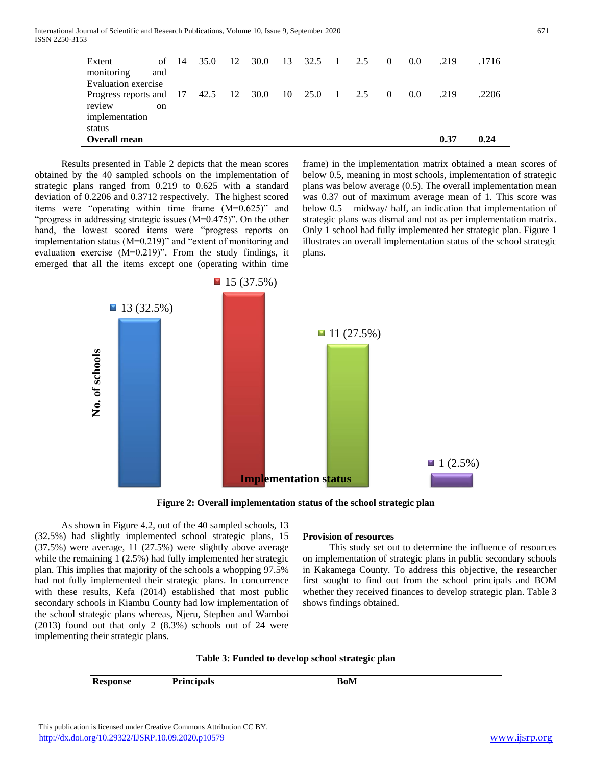International Journal of Scientific and Research Publications, Volume 10, Issue 9, September 2020 671 ISSN 2250-3153

| Extent<br>of<br>monitoring<br>and                                                               | -14 | 35.0 | 12 | 30.0 | -13 | 32.5 1    | 2.5 | $\Omega$ | $0.0^{\circ}$ | .219 | .1716 |
|-------------------------------------------------------------------------------------------------|-----|------|----|------|-----|-----------|-----|----------|---------------|------|-------|
| Evaluation exercise<br>Progress reports and $17 \quad 42.5 \quad 12 \quad 30.0$<br>review<br>on |     |      |    |      |     | 10 25.0 1 | 2.5 | $\theta$ | $0.0^{\circ}$ | .219 | .2206 |
| implementation<br>status<br><b>Overall mean</b>                                                 |     |      |    |      |     |           |     |          |               | 0.37 | 0.24  |

 Results presented in Table 2 depicts that the mean scores obtained by the 40 sampled schools on the implementation of strategic plans ranged from 0.219 to 0.625 with a standard deviation of 0.2206 and 0.3712 respectively. The highest scored items were "operating within time frame (M=0.625)" and "progress in addressing strategic issues (M=0.475)". On the other hand, the lowest scored items were "progress reports on implementation status (M=0.219)" and "extent of monitoring and evaluation exercise (M=0.219)". From the study findings, it emerged that all the items except one (operating within time

frame) in the implementation matrix obtained a mean scores of below 0.5, meaning in most schools, implementation of strategic plans was below average (0.5). The overall implementation mean was 0.37 out of maximum average mean of 1. This score was below 0.5 – midway/ half, an indication that implementation of strategic plans was dismal and not as per implementation matrix. Only 1 school had fully implemented her strategic plan. Figure 1 illustrates an overall implementation status of the school strategic plans.



**Figure 2: Overall implementation status of the school strategic plan**

 As shown in Figure 4.2, out of the 40 sampled schools, 13 (32.5%) had slightly implemented school strategic plans, 15 (37.5%) were average, 11 (27.5%) were slightly above average while the remaining 1 (2.5%) had fully implemented her strategic plan. This implies that majority of the schools a whopping 97.5% had not fully implemented their strategic plans. In concurrence with these results, Kefa (2014) established that most public secondary schools in Kiambu County had low implementation of the school strategic plans whereas, Njeru, Stephen and Wamboi (2013) found out that only 2 (8.3%) schools out of 24 were implementing their strategic plans.

#### **Provision of resources**

 This study set out to determine the influence of resources on implementation of strategic plans in public secondary schools in Kakamega County. To address this objective, the researcher first sought to find out from the school principals and BOM whether they received finances to develop strategic plan. Table 3 shows findings obtained.

| <b>Response</b> | <b>Principals</b> | BoM<br>---- |
|-----------------|-------------------|-------------|
|                 |                   |             |

 This publication is licensed under Creative Commons Attribution CC BY. <http://dx.doi.org/10.29322/IJSRP.10.09.2020.p10579> [www.ijsrp.org](http://ijsrp.org/)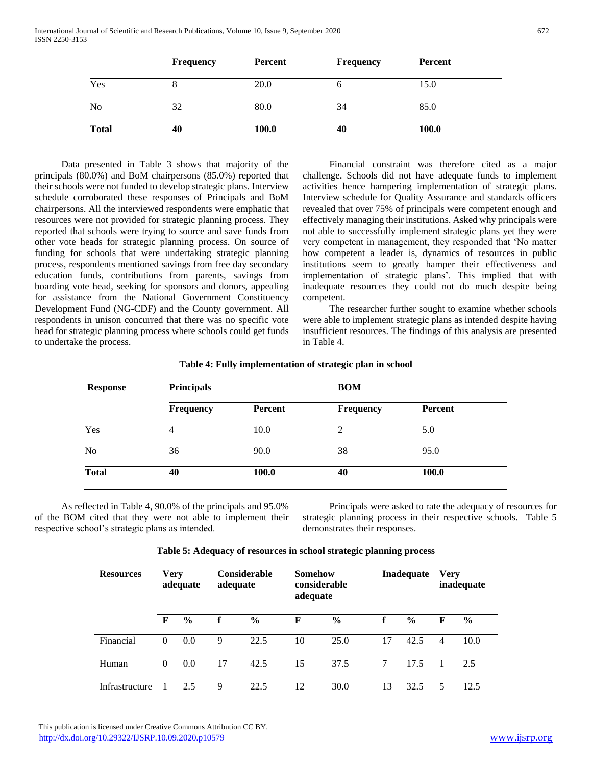|                | <b>Frequency</b> | Percent      | Frequency | Percent      |
|----------------|------------------|--------------|-----------|--------------|
| Yes            | 8                | 20.0         | O         | 15.0         |
| N <sub>0</sub> | 32               | 80.0         | 34        | 85.0         |
| <b>Total</b>   | 40               | <b>100.0</b> | 40        | <b>100.0</b> |

 Data presented in Table 3 shows that majority of the principals (80.0%) and BoM chairpersons (85.0%) reported that their schools were not funded to develop strategic plans. Interview schedule corroborated these responses of Principals and BoM chairpersons. All the interviewed respondents were emphatic that resources were not provided for strategic planning process. They reported that schools were trying to source and save funds from other vote heads for strategic planning process. On source of funding for schools that were undertaking strategic planning process, respondents mentioned savings from free day secondary education funds, contributions from parents, savings from boarding vote head, seeking for sponsors and donors, appealing for assistance from the National Government Constituency Development Fund (NG-CDF) and the County government. All respondents in unison concurred that there was no specific vote head for strategic planning process where schools could get funds to undertake the process.

 Financial constraint was therefore cited as a major challenge. Schools did not have adequate funds to implement activities hence hampering implementation of strategic plans. Interview schedule for Quality Assurance and standards officers revealed that over 75% of principals were competent enough and effectively managing their institutions. Asked why principals were not able to successfully implement strategic plans yet they were very competent in management, they responded that 'No matter how competent a leader is, dynamics of resources in public institutions seem to greatly hamper their effectiveness and implementation of strategic plans'. This implied that with inadequate resources they could not do much despite being competent.

 The researcher further sought to examine whether schools were able to implement strategic plans as intended despite having insufficient resources. The findings of this analysis are presented in Table 4.

| Response       | <b>Principals</b> |                | <b>BOM</b>       |              |  |  |
|----------------|-------------------|----------------|------------------|--------------|--|--|
|                | <b>Frequency</b>  | <b>Percent</b> | <b>Frequency</b> | Percent      |  |  |
| Yes            | 4                 | 10.0           | 2                | 5.0          |  |  |
| N <sub>0</sub> | 36                | 90.0           | 38               | 95.0         |  |  |
| <b>Total</b>   | 40                | <b>100.0</b>   | 40               | <b>100.0</b> |  |  |

# **Table 4: Fully implementation of strategic plan in school**

 As reflected in Table 4, 90.0% of the principals and 95.0% of the BOM cited that they were not able to implement their respective school's strategic plans as intended.

 Principals were asked to rate the adequacy of resources for strategic planning process in their respective schools. Table 5 demonstrates their responses.

| <b>Resources</b> | <b>Very</b><br>adequate |               | <b>Considerable</b><br>adequate |               | Somehow<br>considerable<br>adequate |               | <b>Inadequate</b> |               | Very<br>inadequate |               |
|------------------|-------------------------|---------------|---------------------------------|---------------|-------------------------------------|---------------|-------------------|---------------|--------------------|---------------|
|                  | F                       | $\frac{0}{0}$ |                                 | $\frac{6}{9}$ | F                                   | $\frac{6}{9}$ |                   | $\frac{6}{6}$ | F                  | $\frac{6}{9}$ |
| Financial        | $\Omega$                | 0.0           | 9                               | 22.5          | 10                                  | 25.0          | 17                | 42.5          | $\overline{4}$     | 10.0          |
| Human            | $\Omega$                | 0.0           | 17                              | 42.5          | 15                                  | 37.5          | 7                 | 17.5          | $\overline{1}$     | 2.5           |
| Infrastructure   |                         | 2.5           | 9                               | 22.5          | 12                                  | 30.0          | 13                | 32.5          | 5                  | 12.5          |

## **Table 5: Adequacy of resources in school strategic planning process**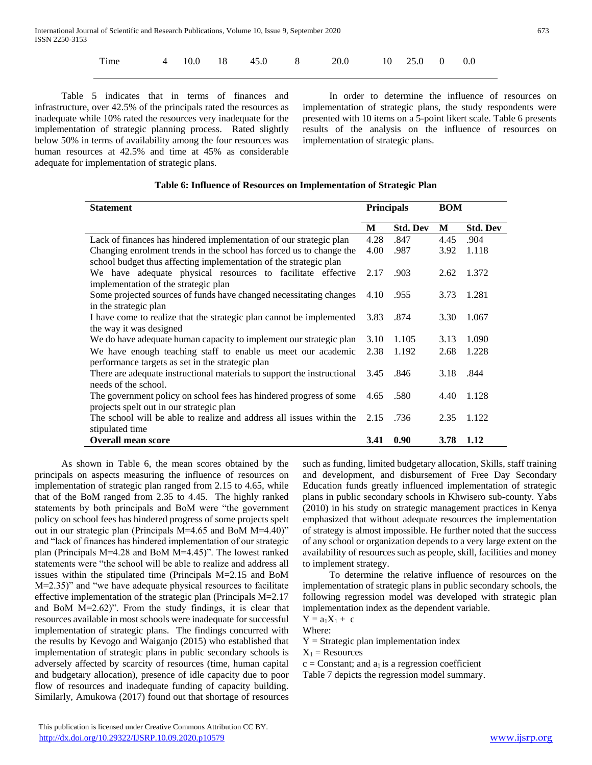| Time 4 10.0 18 45.0 8 20.0 10 25.0 0 0.0 |  |  |  |  |  |
|------------------------------------------|--|--|--|--|--|
|                                          |  |  |  |  |  |

 Table 5 indicates that in terms of finances and infrastructure, over 42.5% of the principals rated the resources as inadequate while 10% rated the resources very inadequate for the implementation of strategic planning process. Rated slightly below 50% in terms of availability among the four resources was human resources at 42.5% and time at 45% as considerable adequate for implementation of strategic plans.

 In order to determine the influence of resources on implementation of strategic plans, the study respondents were presented with 10 items on a 5-point likert scale. Table 6 presents results of the analysis on the influence of resources on implementation of strategic plans.

| Table 6: Influence of Resources on Implementation of Strategic Plan |  |  |
|---------------------------------------------------------------------|--|--|
|                                                                     |  |  |

| <b>Statement</b>                                                             | <b>Principals</b> |                 | <b>BOM</b> |                 |
|------------------------------------------------------------------------------|-------------------|-----------------|------------|-----------------|
|                                                                              | M                 | <b>Std. Dev</b> | M          | <b>Std. Dev</b> |
| Lack of finances has hindered implementation of our strategic plan           | 4.28              | .847            | 4.45       | .904            |
| Changing enrolment trends in the school has forced us to change the          | 4.00              | .987            | 3.92       | 1.118           |
| school budget thus affecting implementation of the strategic plan            |                   |                 |            |                 |
| We have adequate physical resources to facilitate effective                  | 2.17              | .903            | 2.62       | 1.372           |
| implementation of the strategic plan                                         |                   |                 |            |                 |
| Some projected sources of funds have changed necessitating changes           | 4.10              | .955            | 3.73       | 1.281           |
| in the strategic plan                                                        |                   |                 |            |                 |
| I have come to realize that the strategic plan cannot be implemented         | 3.83              | .874            | 3.30       | 1.067           |
| the way it was designed                                                      |                   |                 |            |                 |
| We do have adequate human capacity to implement our strategic plan           | 3.10              | 1.105           | 3.13       | 1.090           |
| We have enough teaching staff to enable us meet our academic                 | 2.38              | 1.192           | 2.68       | 1.228           |
| performance targets as set in the strategic plan                             |                   |                 |            |                 |
| There are adequate instructional materials to support the instructional 3.45 |                   | .846            | 3.18       | .844            |
| needs of the school.                                                         |                   |                 |            |                 |
| The government policy on school fees has hindered progress of some           | 4.65              | .580            | 4.40       | 1.128           |
| projects spelt out in our strategic plan                                     |                   |                 |            |                 |
| The school will be able to realize and address all issues within the         | 2.15              | .736            | 2.35       | 1.122           |
| stipulated time                                                              |                   |                 |            |                 |
| <b>Overall mean score</b>                                                    | 3.41              | 0.90            | 3.78       | 1.12            |

 As shown in Table 6, the mean scores obtained by the principals on aspects measuring the influence of resources on implementation of strategic plan ranged from 2.15 to 4.65, while that of the BoM ranged from 2.35 to 4.45. The highly ranked statements by both principals and BoM were "the government policy on school fees has hindered progress of some projects spelt out in our strategic plan (Principals M=4.65 and BoM M=4.40)" and "lack of finances has hindered implementation of our strategic plan (Principals M=4.28 and BoM M=4.45)". The lowest ranked statements were "the school will be able to realize and address all issues within the stipulated time (Principals M=2.15 and BoM M=2.35)" and "we have adequate physical resources to facilitate effective implementation of the strategic plan (Principals M=2.17 and BoM M=2.62)". From the study findings, it is clear that resources available in most schools were inadequate for successful implementation of strategic plans. The findings concurred with the results by Kevogo and Waiganjo (2015) who established that implementation of strategic plans in public secondary schools is adversely affected by scarcity of resources (time, human capital and budgetary allocation), presence of idle capacity due to poor flow of resources and inadequate funding of capacity building. Similarly, Amukowa (2017) found out that shortage of resources such as funding, limited budgetary allocation, Skills, staff training and development, and disbursement of Free Day Secondary Education funds greatly influenced implementation of strategic plans in public secondary schools in Khwisero sub-county. Yabs (2010) in his study on strategic management practices in Kenya emphasized that without adequate resources the implementation of strategy is almost impossible. He further noted that the success of any school or organization depends to a very large extent on the availability of resources such as people, skill, facilities and money to implement strategy.

 To determine the relative influence of resources on the implementation of strategic plans in public secondary schools, the following regression model was developed with strategic plan implementation index as the dependent variable.

 $Y = a_1X_1 + c$ 

Where:  $Y =$  Strategic plan implementation index

 $X_1$  = Resources

 $c =$ Constant; and  $a_1$  is a regression coefficient

Table 7 depicts the regression model summary.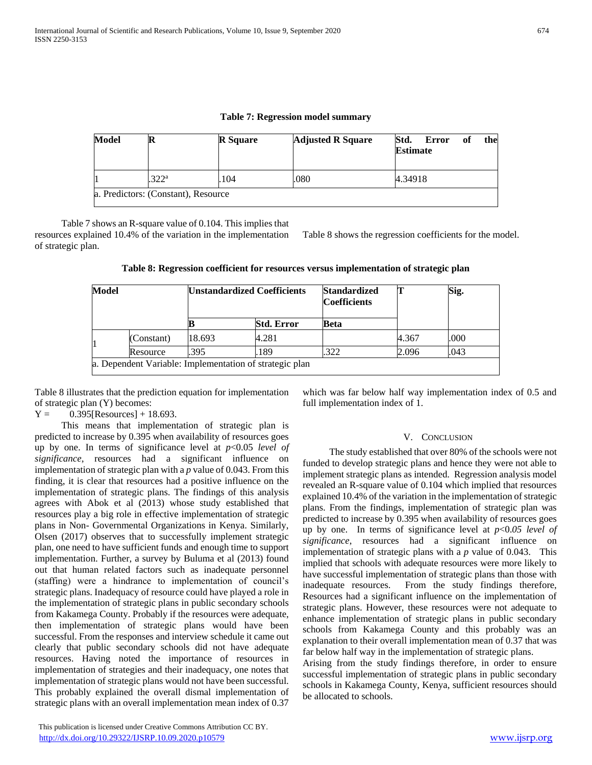|  | <b>Table 7: Regression model summary</b> |  |  |
|--|------------------------------------------|--|--|
|--|------------------------------------------|--|--|

| Model | K                                   | <b>R</b> Square | <b>Adjusted R Square</b> | Std.<br>the<br>Error<br>of<br><b>Estimate</b> |
|-------|-------------------------------------|-----------------|--------------------------|-----------------------------------------------|
|       | .322 <sup>a</sup>                   | .104            | .080                     | 4.34918                                       |
|       | a. Predictors: (Constant), Resource |                 |                          |                                               |

 Table 7 shows an R-square value of 0.104. This implies that resources explained 10.4% of the variation in the implementation of strategic plan.

Table 8 shows the regression coefficients for the model.

| Model |            |        | Unstandardized Coefficients                             | <b>Standardized</b><br><b>Coefficients</b> |       | Sig. |
|-------|------------|--------|---------------------------------------------------------|--------------------------------------------|-------|------|
|       |            |        | <b>Std. Error</b>                                       | Beta                                       |       |      |
|       | (Constant) | 18.693 | 4.281                                                   |                                            | 4.367 | .000 |
|       | Resource   | .395   | .189                                                    | .322                                       | 2.096 | .043 |
|       |            |        | a. Dependent Variable: Implementation of strategic plan |                                            |       |      |

**Table 8: Regression coefficient for resources versus implementation of strategic plan**

Table 8 illustrates that the prediction equation for implementation of strategic plan (Y) becomes:

which was far below half way implementation index of 0.5 and full implementation index of 1.

## $Y = 0.395$ [Resources] + 18.693.

 This means that implementation of strategic plan is predicted to increase by 0.395 when availability of resources goes up by one. In terms of significance level at *p*<0.05 *level of significance*, resources had a significant influence on implementation of strategic plan with a *p* value of 0.043. From this finding, it is clear that resources had a positive influence on the implementation of strategic plans. The findings of this analysis agrees with Abok et al (2013) whose study established that resources play a big role in effective implementation of strategic plans in Non- Governmental Organizations in Kenya. Similarly, Olsen (2017) observes that to successfully implement strategic plan, one need to have sufficient funds and enough time to support implementation. Further, a survey by Buluma et al (2013) found out that human related factors such as inadequate personnel (staffing) were a hindrance to implementation of council's strategic plans. Inadequacy of resource could have played a role in the implementation of strategic plans in public secondary schools from Kakamega County. Probably if the resources were adequate, then implementation of strategic plans would have been successful. From the responses and interview schedule it came out clearly that public secondary schools did not have adequate resources. Having noted the importance of resources in implementation of strategies and their inadequacy, one notes that implementation of strategic plans would not have been successful. This probably explained the overall dismal implementation of strategic plans with an overall implementation mean index of 0.37

V. CONCLUSION

 The study established that over 80% of the schools were not funded to develop strategic plans and hence they were not able to implement strategic plans as intended. Regression analysis model revealed an R-square value of 0.104 which implied that resources explained 10.4% of the variation in the implementation of strategic plans. From the findings, implementation of strategic plan was predicted to increase by 0.395 when availability of resources goes up by one. In terms of significance level at *p*<0.*05 level of significance*, resources had a significant influence on implementation of strategic plans with a *p* value of 0.043. This implied that schools with adequate resources were more likely to have successful implementation of strategic plans than those with inadequate resources. From the study findings therefore, Resources had a significant influence on the implementation of strategic plans. However, these resources were not adequate to enhance implementation of strategic plans in public secondary schools from Kakamega County and this probably was an explanation to their overall implementation mean of 0.37 that was far below half way in the implementation of strategic plans.

Arising from the study findings therefore, in order to ensure successful implementation of strategic plans in public secondary schools in Kakamega County, Kenya, sufficient resources should be allocated to schools.